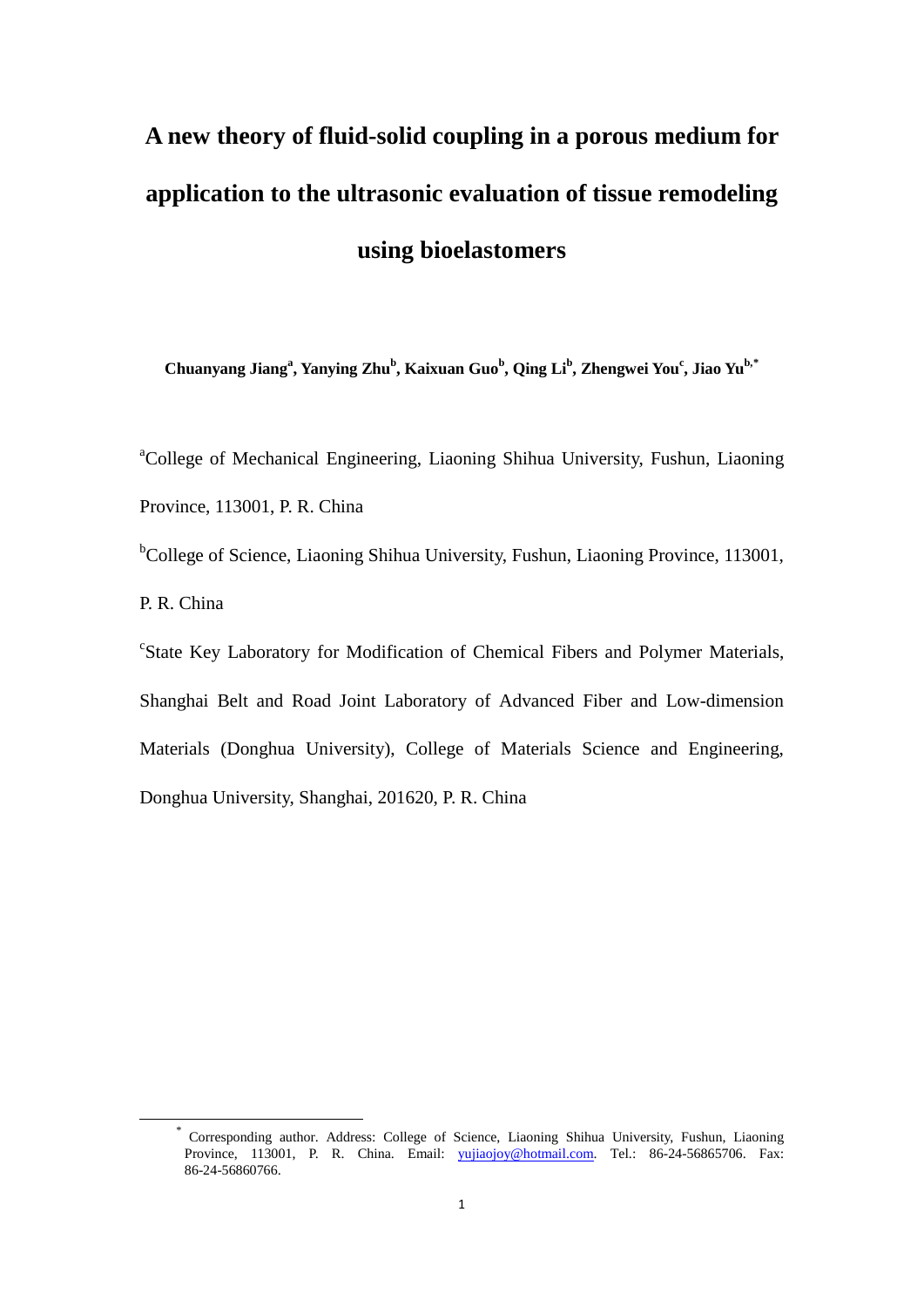# **A new theory of fluid-solid coupling in a porous medium for application to the ultrasonic evaluation of tissue remodeling using bioelastomers**

**Chuanyang Jianga , Yanying Zhu<sup>b</sup> , Kaixuan Guob , Qing Lib , Zhengwei Youc , Jiao Yub,[\\*](#page-0-0)**

<sup>a</sup>College of Mechanical Engineering, Liaoning Shihua University, Fushun, Liaoning Province, 113001, P. R. China

<sup>b</sup>College of Science, Liaoning Shihua University, Fushun, Liaoning Province, 113001, P. R. China

<sup>c</sup>State Key Laboratory for Modification of Chemical Fibers and Polymer Materials, Shanghai Belt and Road Joint Laboratory of Advanced Fiber and Low-dimension Materials (Donghua University), College of Materials Science and Engineering, Donghua University, Shanghai, 201620, P. R. China

<span id="page-0-0"></span>\* Corresponding author. Address: College of Science, Liaoning Shihua University, Fushun, Liaoning Province, 113001, P. R. China. Email: [yujiaojoy@hotmail.com.](mailto:yujiaojoy@hotmail.com) Tel.: 86-24-56865706. Fax: 86-24-56860766.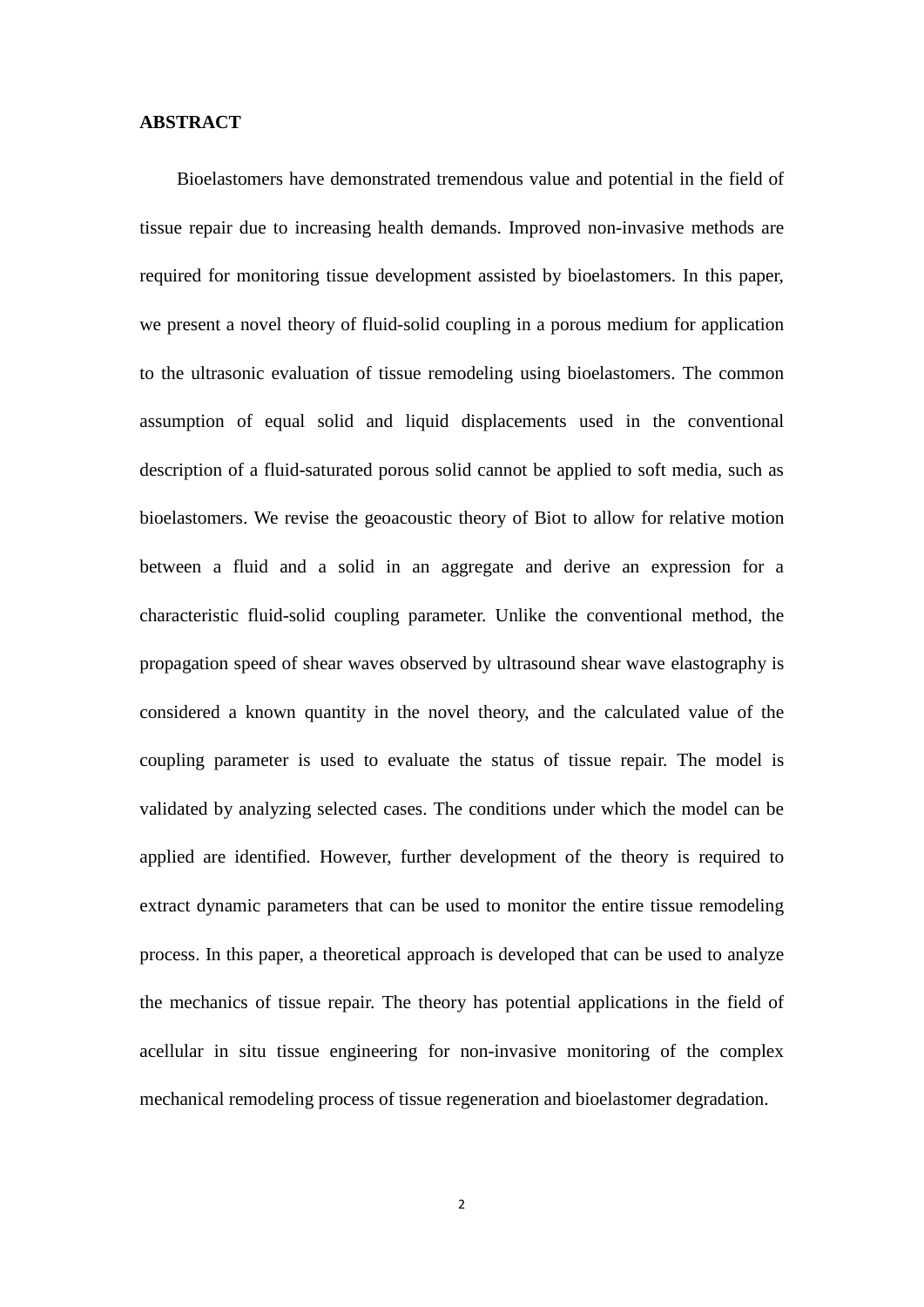### **ABSTRACT**

Bioelastomers have demonstrated tremendous value and potential in the field of tissue repair due to increasing health demands. Improved non-invasive methods are required for monitoring tissue development assisted by bioelastomers. In this paper, we present a novel theory of fluid-solid coupling in a porous medium for application to the ultrasonic evaluation of tissue remodeling using bioelastomers. The common assumption of equal solid and liquid displacements used in the conventional description of a fluid-saturated porous solid cannot be applied to soft media, such as bioelastomers. We revise the geoacoustic theory of Biot to allow for relative motion between a fluid and a solid in an aggregate and derive an expression for a characteristic fluid-solid coupling parameter. Unlike the conventional method, the propagation speed of shear waves observed by ultrasound shear wave elastography is considered a known quantity in the novel theory, and the calculated value of the coupling parameter is used to evaluate the status of tissue repair. The model is validated by analyzing selected cases. The conditions under which the model can be applied are identified. However, further development of the theory is required to extract dynamic parameters that can be used to monitor the entire tissue remodeling process. In this paper, a theoretical approach is developed that can be used to analyze the mechanics of tissue repair. The theory has potential applications in the field of acellular in situ tissue engineering for non-invasive monitoring of the complex mechanical remodeling process of tissue regeneration and bioelastomer degradation.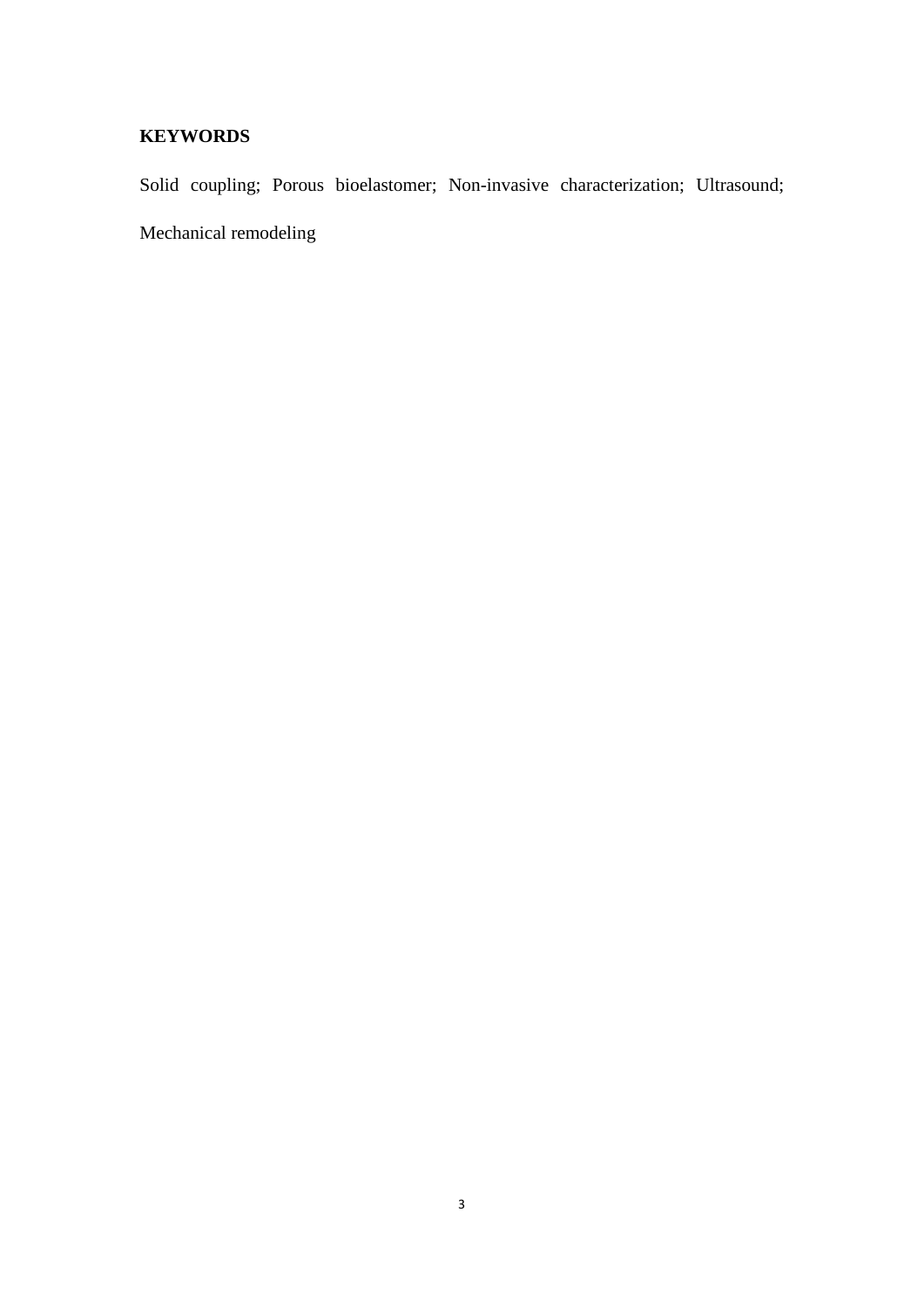# **KEYWORDS**

Solid coupling; Porous bioelastomer; Non-invasive characterization; Ultrasound; Mechanical remodeling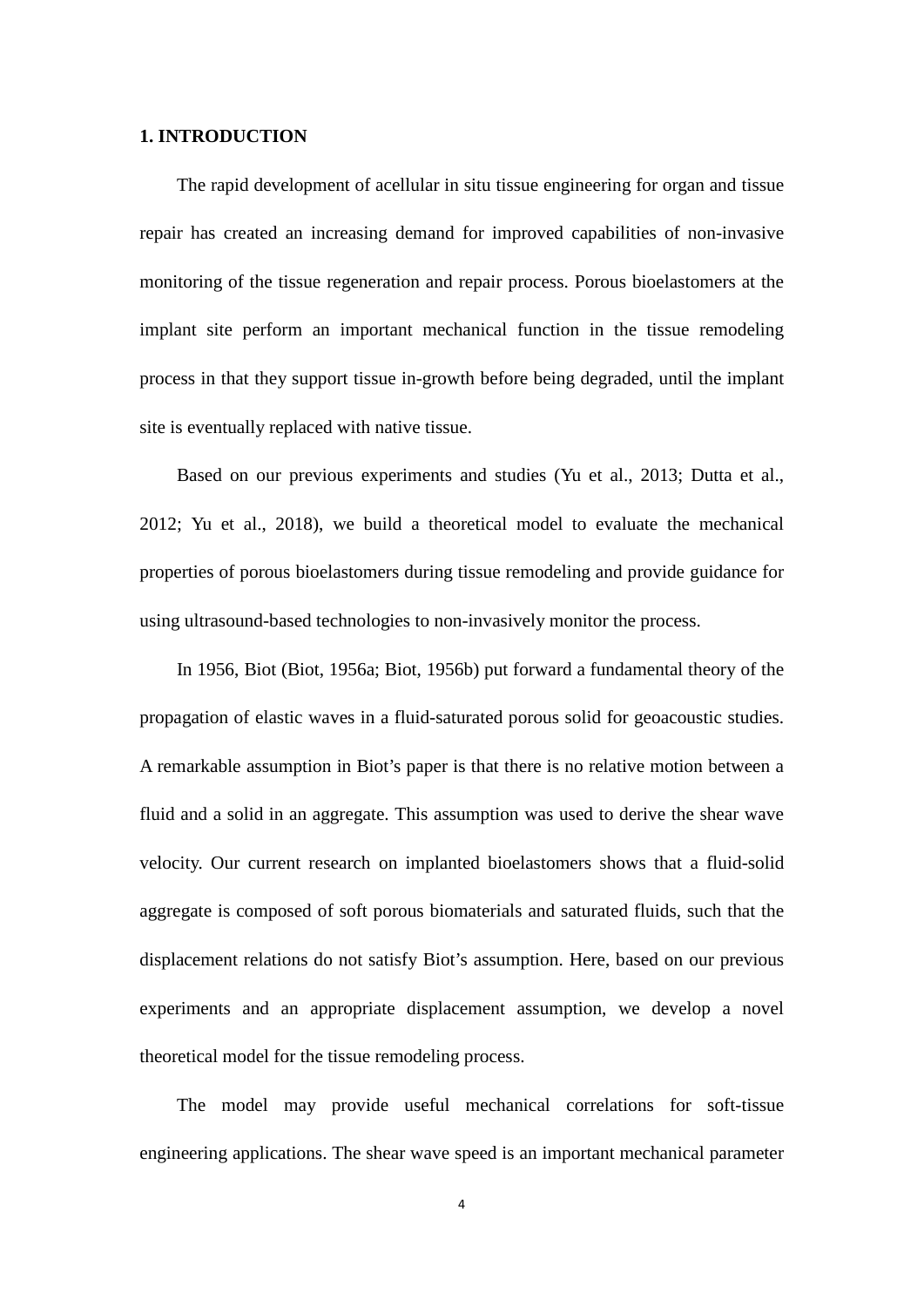#### **1. INTRODUCTION**

The rapid development of acellular in situ tissue engineering for organ and tissue repair has created an increasing demand for improved capabilities of non-invasive monitoring of the tissue regeneration and repair process. Porous bioelastomers at the implant site perform an important mechanical function in the tissue remodeling process in that they support tissue in-growth before being degraded, until the implant site is eventually replaced with native tissue.

Based on our previous experiments and studies (Yu et al., 2013; Dutta et al., 2012; Yu et al., 2018), we build a theoretical model to evaluate the mechanical properties of porous bioelastomers during tissue remodeling and provide guidance for using ultrasound-based technologies to non-invasively monitor the process.

In 1956, Biot (Biot, 1956a; Biot, 1956b) put forward a fundamental theory of the propagation of elastic waves in a fluid-saturated porous solid for geoacoustic studies. A remarkable assumption in Biot's paper is that there is no relative motion between a fluid and a solid in an aggregate. This assumption was used to derive the shear wave velocity. Our current research on implanted bioelastomers shows that a fluid-solid aggregate is composed of soft porous biomaterials and saturated fluids, such that the displacement relations do not satisfy Biot's assumption. Here, based on our previous experiments and an appropriate displacement assumption, we develop a novel theoretical model for the tissue remodeling process.

The model may provide useful mechanical correlations for soft-tissue engineering applications. The shear wave speed is an important mechanical parameter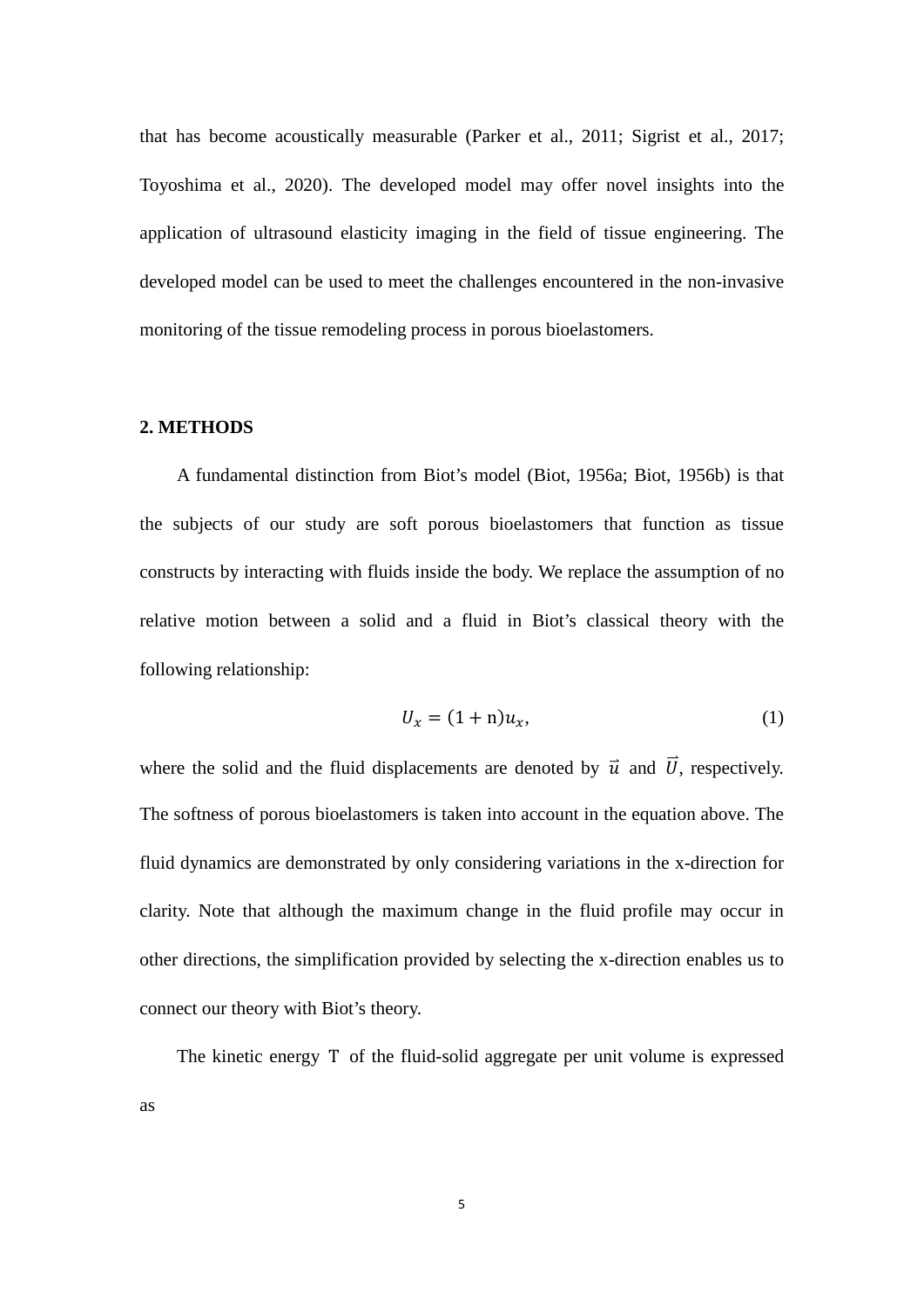that has become acoustically measurable (Parker et al., 2011; Sigrist et al., 2017; Toyoshima et al., 2020). The developed model may offer novel insights into the application of ultrasound elasticity imaging in the field of tissue engineering. The developed model can be used to meet the challenges encountered in the non-invasive monitoring of the tissue remodeling process in porous bioelastomers.

## **2. METHODS**

A fundamental distinction from Biot's model (Biot, 1956a; Biot, 1956b) is that the subjects of our study are soft porous bioelastomers that function as tissue constructs by interacting with fluids inside the body. We replace the assumption of no relative motion between a solid and a fluid in Biot's classical theory with the following relationship:

$$
U_x = (1 + n)u_x,\tag{1}
$$

where the solid and the fluid displacements are denoted by  $\vec{u}$  and  $\vec{U}$ , respectively. The softness of porous bioelastomers is taken into account in the equation above. The fluid dynamics are demonstrated by only considering variations in the x-direction for clarity. Note that although the maximum change in the fluid profile may occur in other directions, the simplification provided by selecting the x-direction enables us to connect our theory with Biot's theory.

The kinetic energy T of the fluid-solid aggregate per unit volume is expressed as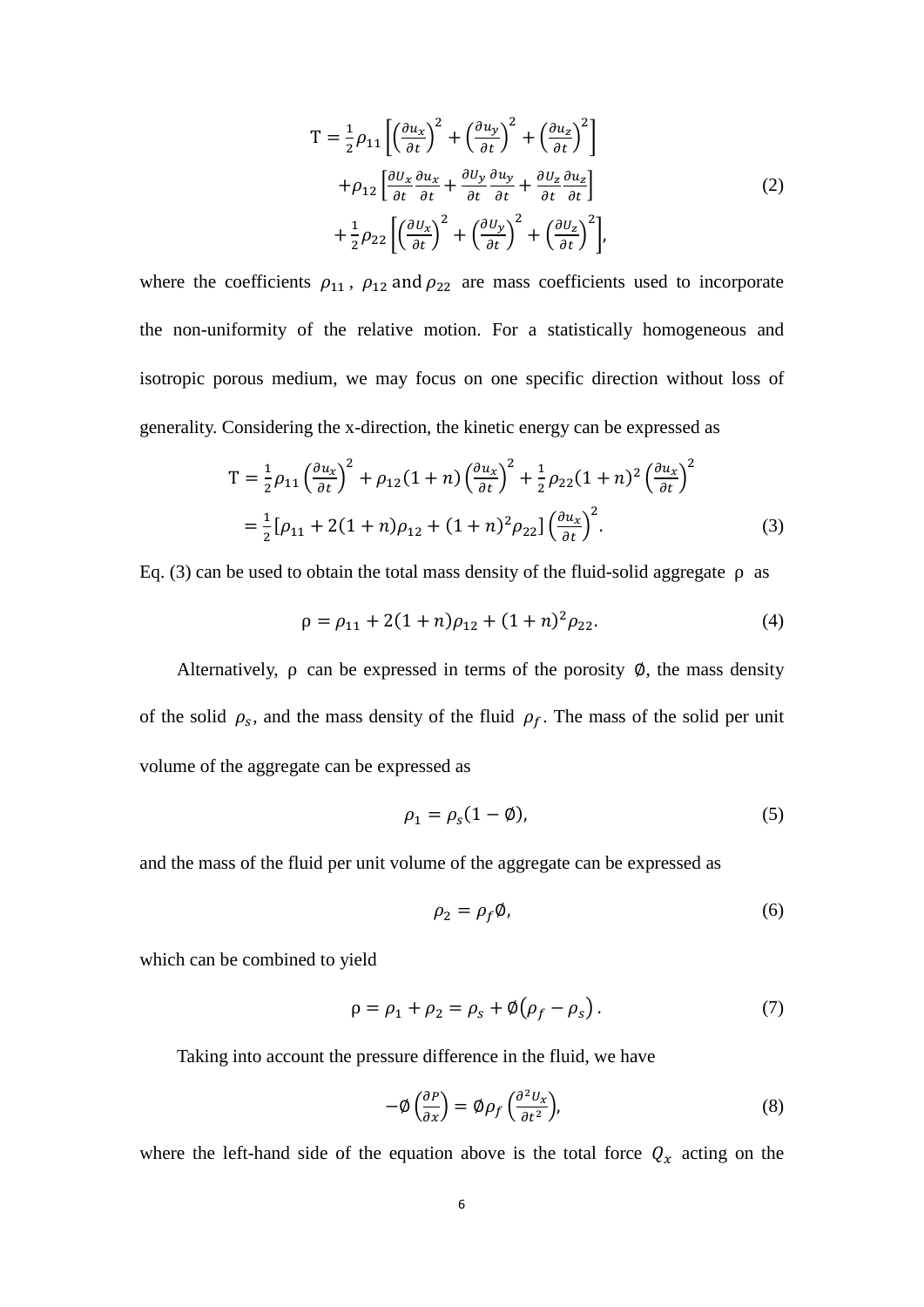$$
T = \frac{1}{2}\rho_{11}\left[\left(\frac{\partial u_x}{\partial t}\right)^2 + \left(\frac{\partial u_y}{\partial t}\right)^2 + \left(\frac{\partial u_z}{\partial t}\right)^2\right] + \rho_{12}\left[\frac{\partial u_x}{\partial t}\frac{\partial u_x}{\partial t} + \frac{\partial u_y}{\partial t}\frac{\partial u_y}{\partial t} + \frac{\partial u_z}{\partial t}\frac{\partial u_z}{\partial t}\right] + \frac{1}{2}\rho_{22}\left[\left(\frac{\partial u_x}{\partial t}\right)^2 + \left(\frac{\partial u_y}{\partial t}\right)^2 + \left(\frac{\partial u_z}{\partial t}\right)^2\right],
$$
(2)

where the coefficients  $\rho_{11}$ ,  $\rho_{12}$  and  $\rho_{22}$  are mass coefficients used to incorporate the non-uniformity of the relative motion. For a statistically homogeneous and isotropic porous medium, we may focus on one specific direction without loss of generality. Considering the x-direction, the kinetic energy can be expressed as

$$
T = \frac{1}{2}\rho_{11} \left(\frac{\partial u_x}{\partial t}\right)^2 + \rho_{12} (1+n) \left(\frac{\partial u_x}{\partial t}\right)^2 + \frac{1}{2}\rho_{22} (1+n)^2 \left(\frac{\partial u_x}{\partial t}\right)^2
$$
  
=  $\frac{1}{2} [\rho_{11} + 2(1+n)\rho_{12} + (1+n)^2 \rho_{22}] \left(\frac{\partial u_x}{\partial t}\right)^2$ . (3)

Eq. (3) can be used to obtain the total mass density of the fluid-solid aggregate ρ as

$$
\rho = \rho_{11} + 2(1+n)\rho_{12} + (1+n)^2 \rho_{22}.
$$
\n(4)

Alternatively,  $\rho$  can be expressed in terms of the porosity  $\emptyset$ , the mass density of the solid  $\rho_s$ , and the mass density of the fluid  $\rho_f$ . The mass of the solid per unit volume of the aggregate can be expressed as

$$
\rho_1 = \rho_s (1 - \emptyset),\tag{5}
$$

and the mass of the fluid per unit volume of the aggregate can be expressed as

$$
\rho_2 = \rho_f \emptyset, \tag{6}
$$

which can be combined to yield

$$
\rho = \rho_1 + \rho_2 = \rho_s + \emptyset (\rho_f - \rho_s). \tag{7}
$$

Taking into account the pressure difference in the fluid, we have

$$
-\phi\left(\frac{\partial P}{\partial x}\right) = \phi \rho_f \left(\frac{\partial^2 U_x}{\partial t^2}\right),\tag{8}
$$

where the left-hand side of the equation above is the total force  $Q_x$  acting on the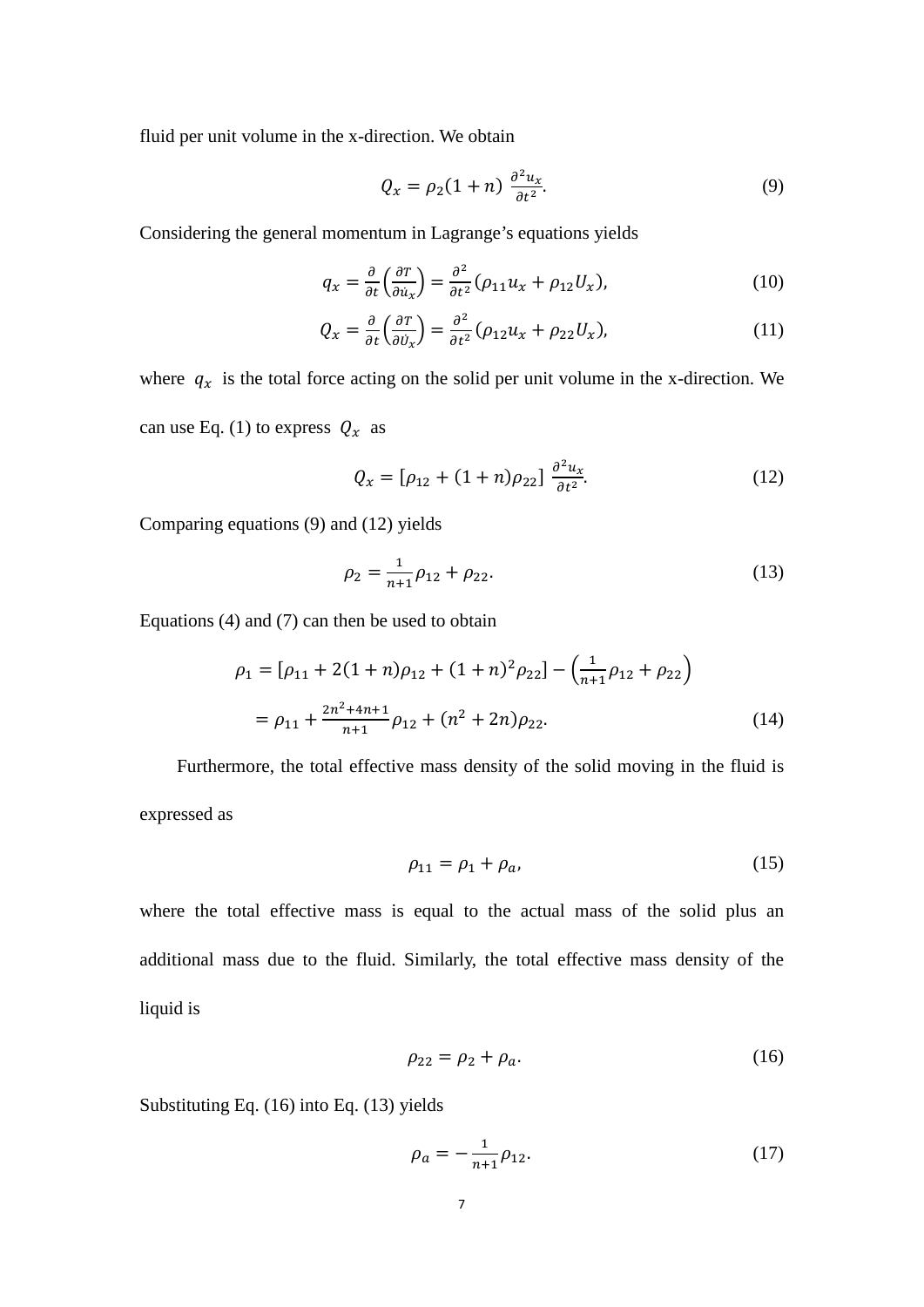fluid per unit volume in the x-direction. We obtain

$$
Q_x = \rho_2 (1+n) \frac{\partial^2 u_x}{\partial t^2}.
$$
 (9)

Considering the general momentum in Lagrange's equations yields

$$
q_x = \frac{\partial}{\partial t} \left( \frac{\partial T}{\partial u_x} \right) = \frac{\partial^2}{\partial t^2} (\rho_{11} u_x + \rho_{12} U_x), \tag{10}
$$

$$
Q_x = \frac{\partial}{\partial t} \left( \frac{\partial T}{\partial \dot{v}_x} \right) = \frac{\partial^2}{\partial t^2} (\rho_{12} u_x + \rho_{22} U_x), \tag{11}
$$

where  $q_x$  is the total force acting on the solid per unit volume in the x-direction. We can use Eq. (1) to express  $Q_x$  as

$$
Q_x = [\rho_{12} + (1+n)\rho_{22}] \frac{\partial^2 u_x}{\partial t^2}.
$$
 (12)

Comparing equations (9) and (12) yields

$$
\rho_2 = \frac{1}{n+1}\rho_{12} + \rho_{22}.\tag{13}
$$

Equations (4) and (7) can then be used to obtain

$$
\rho_1 = [\rho_{11} + 2(1+n)\rho_{12} + (1+n)^2 \rho_{22}] - \left(\frac{1}{n+1}\rho_{12} + \rho_{22}\right)
$$
  
=  $\rho_{11} + \frac{2n^2 + 4n + 1}{n+1} \rho_{12} + (n^2 + 2n)\rho_{22}.$  (14)

Furthermore, the total effective mass density of the solid moving in the fluid is expressed as

$$
\rho_{11} = \rho_1 + \rho_a,\tag{15}
$$

where the total effective mass is equal to the actual mass of the solid plus an additional mass due to the fluid. Similarly, the total effective mass density of the liquid is

$$
\rho_{22} = \rho_2 + \rho_a. \tag{16}
$$

Substituting Eq. (16) into Eq. (13) yields

$$
\rho_a = -\frac{1}{n+1}\rho_{12}.\tag{17}
$$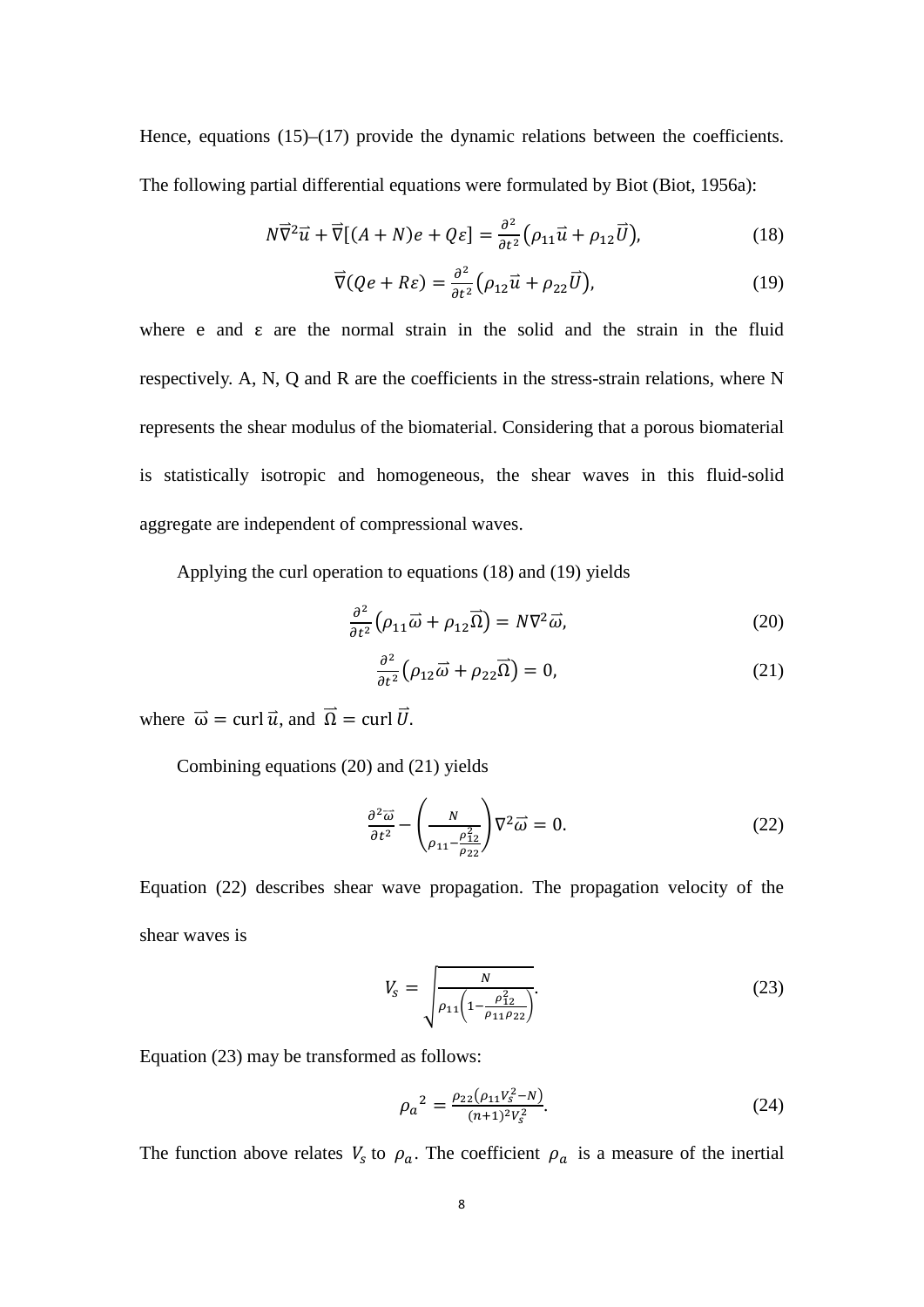Hence, equations (15)–(17) provide the dynamic relations between the coefficients. The following partial differential equations were formulated by Biot (Biot, 1956a):

$$
N\overrightarrow{\nabla}^2 \vec{u} + \overrightarrow{\nabla}[(A+N)e + Q\varepsilon] = \frac{\partial^2}{\partial t^2} \left(\rho_{11}\vec{u} + \rho_{12}\vec{U}\right),\tag{18}
$$

$$
\overrightarrow{\nabla}(Qe + R\varepsilon) = \frac{\partial^2}{\partial t^2} \left( \rho_{12} \overrightarrow{u} + \rho_{22} \overrightarrow{U} \right), \tag{19}
$$

where e and  $\varepsilon$  are the normal strain in the solid and the strain in the fluid respectively. A, N, Q and R are the coefficients in the stress-strain relations, where N represents the shear modulus of the biomaterial. Considering that a porous biomaterial is statistically isotropic and homogeneous, the shear waves in this fluid-solid aggregate are independent of compressional waves.

Applying the curl operation to equations (18) and (19) yields

$$
\frac{\partial^2}{\partial t^2} \left( \rho_{11} \vec{\omega} + \rho_{12} \vec{\Omega} \right) = N \nabla^2 \vec{\omega},\tag{20}
$$

$$
\frac{\partial^2}{\partial t^2} \left( \rho_{12} \vec{\omega} + \rho_{22} \vec{\Omega} \right) = 0, \tag{21}
$$

where  $\vec{\omega} = \text{curl } \vec{u}$ , and  $\vec{\Omega} = \text{curl } \vec{U}$ .

Combining equations (20) and (21) yields

$$
\frac{\partial^2 \overrightarrow{\omega}}{\partial t^2} - \left(\frac{N}{\rho_{11} - \frac{\rho_{12}^2}{\rho_{22}}}\right) \nabla^2 \overrightarrow{\omega} = 0.
$$
 (22)

Equation (22) describes shear wave propagation. The propagation velocity of the shear waves is

$$
V_s = \sqrt{\frac{N}{\rho_{11}\left(1 - \frac{\rho_{12}^2}{\rho_{11}\rho_{22}}\right)}}.
$$
\n(23)

Equation (23) may be transformed as follows:

$$
\rho_a^2 = \frac{\rho_{22}(\rho_{11}V_s^2 - N)}{(n+1)^2 V_s^2}.
$$
\n(24)

The function above relates  $V_s$  to  $\rho_a$ . The coefficient  $\rho_a$  is a measure of the inertial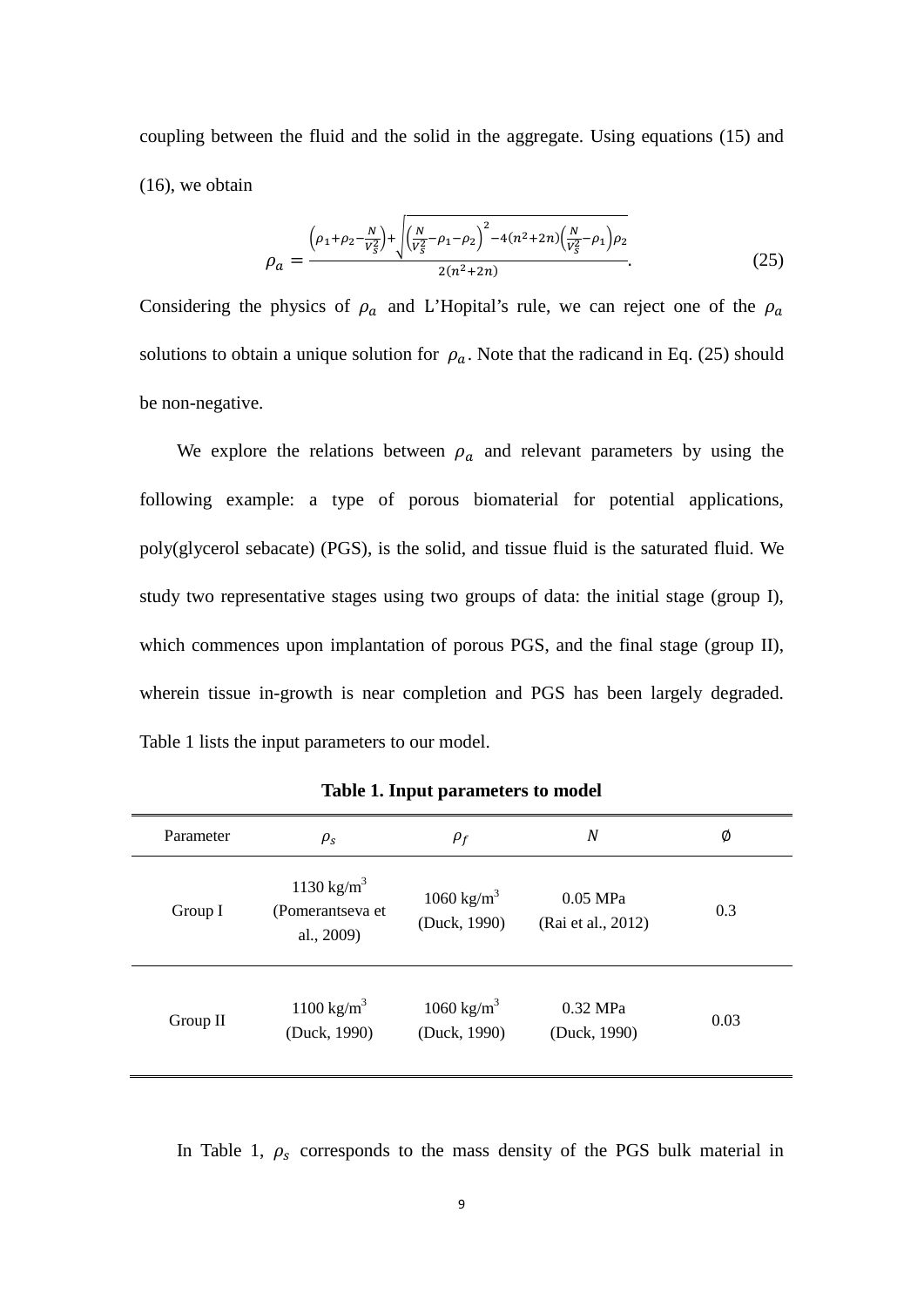coupling between the fluid and the solid in the aggregate. Using equations (15) and (16), we obtain

$$
\rho_a = \frac{\left(\rho_1 + \rho_2 - \frac{N}{V_S^2}\right) + \sqrt{\left(\frac{N}{V_S^2} - \rho_1 - \rho_2\right)^2 - 4(n^2 + 2n)\left(\frac{N}{V_S^2} - \rho_1\right)\rho_2}}{2(n^2 + 2n)}.
$$
\n(25)

Considering the physics of  $\rho_a$  and L'Hopital's rule, we can reject one of the  $\rho_a$ solutions to obtain a unique solution for  $\rho_a$ . Note that the radicand in Eq. (25) should be non-negative.

We explore the relations between  $\rho_a$  and relevant parameters by using the following example: a type of porous biomaterial for potential applications, poly(glycerol sebacate) (PGS), is the solid, and tissue fluid is the saturated fluid. We study two representative stages using two groups of data: the initial stage (group I), which commences upon implantation of porous PGS, and the final stage (group II), wherein tissue in-growth is near completion and PGS has been largely degraded. Table 1 lists the input parameters to our model.

| Parameter  | $\rho_{\rm s}$                                           | $\rho_f$                               | N                              | Ø    |  |
|------------|----------------------------------------------------------|----------------------------------------|--------------------------------|------|--|
| Group I    | 1130 kg/m <sup>3</sup><br>(Pomerantseva et<br>al., 2009) | 1060 kg/m <sup>3</sup><br>(Duck, 1990) | 0.05 MPa<br>(Rai et al., 2012) | 0.3  |  |
| Group $II$ | 1100 kg/m <sup>3</sup><br>(Duck, 1990)                   | 1060 kg/m <sup>3</sup><br>(Duck, 1990) | 0.32 MPa<br>(Duck, 1990)       | 0.03 |  |

**Table 1. Input parameters to model**

In Table 1,  $\rho_s$  corresponds to the mass density of the PGS bulk material in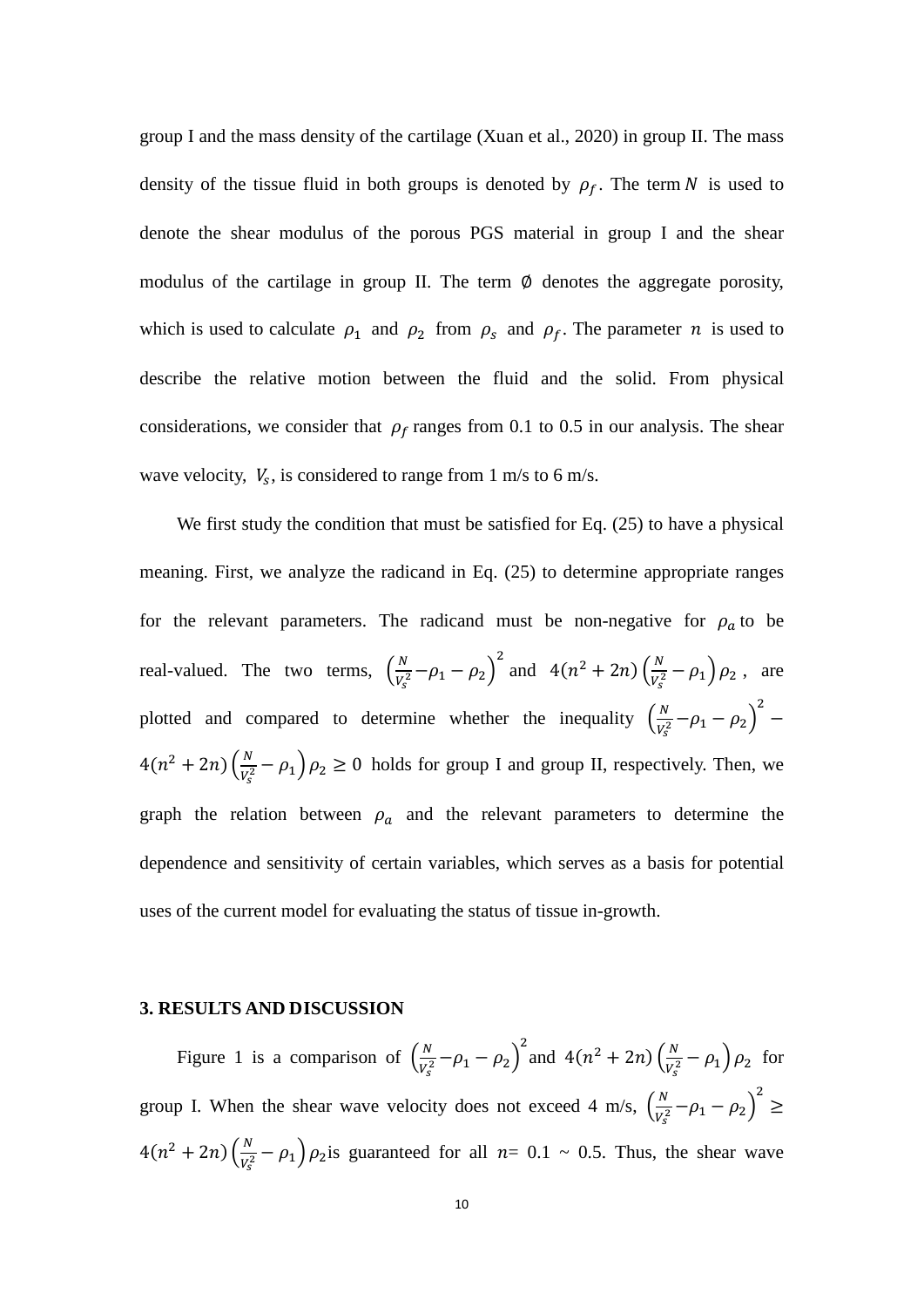group I and the mass density of the cartilage (Xuan et al., 2020) in group II. The mass density of the tissue fluid in both groups is denoted by  $\rho_f$ . The term N is used to denote the shear modulus of the porous PGS material in group I and the shear modulus of the cartilage in group II. The term  $\emptyset$  denotes the aggregate porosity, which is used to calculate  $\rho_1$  and  $\rho_2$  from  $\rho_s$  and  $\rho_f$ . The parameter *n* is used to describe the relative motion between the fluid and the solid. From physical considerations, we consider that  $\rho_f$  ranges from 0.1 to 0.5 in our analysis. The shear wave velocity,  $V_s$ , is considered to range from 1 m/s to 6 m/s.

We first study the condition that must be satisfied for Eq. (25) to have a physical meaning. First, we analyze the radicand in Eq. (25) to determine appropriate ranges for the relevant parameters. The radicand must be non-negative for  $\rho_a$  to be real-valued. The two terms,  $\left(\frac{N}{V_s^2} - \rho_1 - \rho_2\right)$ <sup>2</sup> and  $4(n^2 + 2n) \left(\frac{N}{V_s^2} - \rho_1\right) \rho_2$ , are plotted and compared to determine whether the inequality  $\left(\frac{N}{V_s^2} - \rho_1 - \rho_2\right)$ 2 −  $4(n^2 + 2n) \left(\frac{N}{V_s^2} - \rho_1\right) \rho_2 \ge 0$  holds for group I and group II, respectively. Then, we graph the relation between  $\rho_a$  and the relevant parameters to determine the dependence and sensitivity of certain variables, which serves as a basis for potential uses of the current model for evaluating the status of tissue in-growth.

#### **3. RESULTS AND DISCUSSION**

Figure 1 is a comparison of  $\left(\frac{N}{V_s^2} - \rho_1 - \rho_2\right)$ and  $4(n^2 + 2n) \left(\frac{N}{V_s^2} - \rho_1\right) \rho_2$  for group I. When the shear wave velocity does not exceed 4 m/s,  $\left(\frac{N}{V_s^2} - \rho_1 - \rho_2\right)$ 2 ≥  $4(n^2 + 2n) \left(\frac{N}{V_s^2} - \rho_1\right) \rho_2$  is guaranteed for all  $n = 0.1 \sim 0.5$ . Thus, the shear wave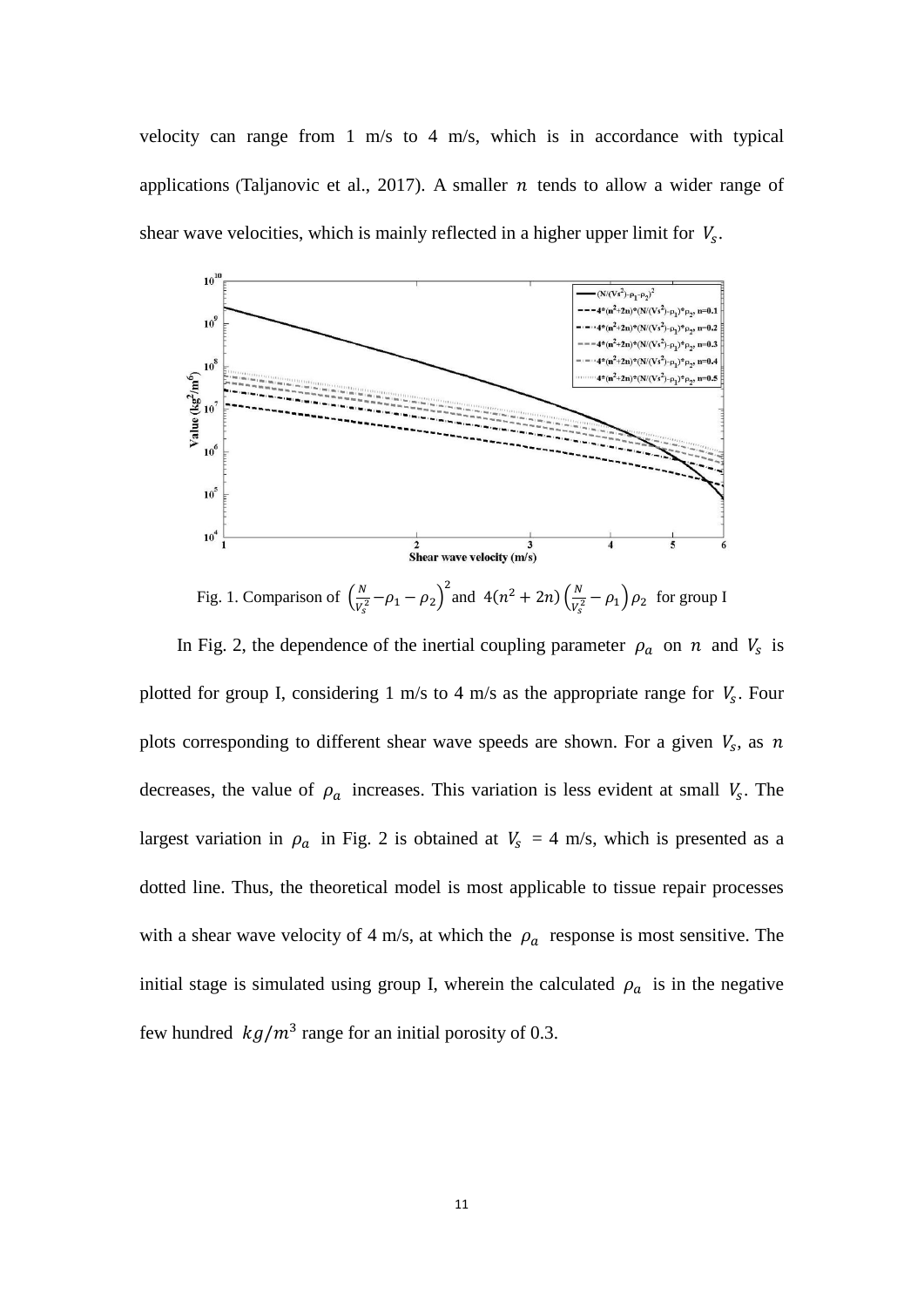velocity can range from 1 m/s to 4 m/s, which is in accordance with typical applications (Taljanovic et al., 2017). A smaller  $n$  tends to allow a wider range of shear wave velocities, which is mainly reflected in a higher upper limit for  $V_s$ .



Fig. 1. Comparison of  $\left(\frac{N}{V_s^2} - \rho_1 - \rho_2\right)^2$  and  $4(n^2 + 2n)\left(\frac{N}{V_s^2} - \rho_1\right)\rho_2$  for group I

In Fig. 2, the dependence of the inertial coupling parameter  $\rho_a$  on  $n$  and  $V_s$  is plotted for group I, considering 1 m/s to 4 m/s as the appropriate range for  $V_s$ . Four plots corresponding to different shear wave speeds are shown. For a given  $V_s$ , as n decreases, the value of  $\rho_a$  increases. This variation is less evident at small  $V_s$ . The largest variation in  $\rho_a$  in Fig. 2 is obtained at  $V_s = 4$  m/s, which is presented as a dotted line. Thus, the theoretical model is most applicable to tissue repair processes with a shear wave velocity of 4 m/s, at which the  $\rho_a$  response is most sensitive. The initial stage is simulated using group I, wherein the calculated  $\rho_a$  is in the negative few hundred  $kg/m^3$  range for an initial porosity of 0.3.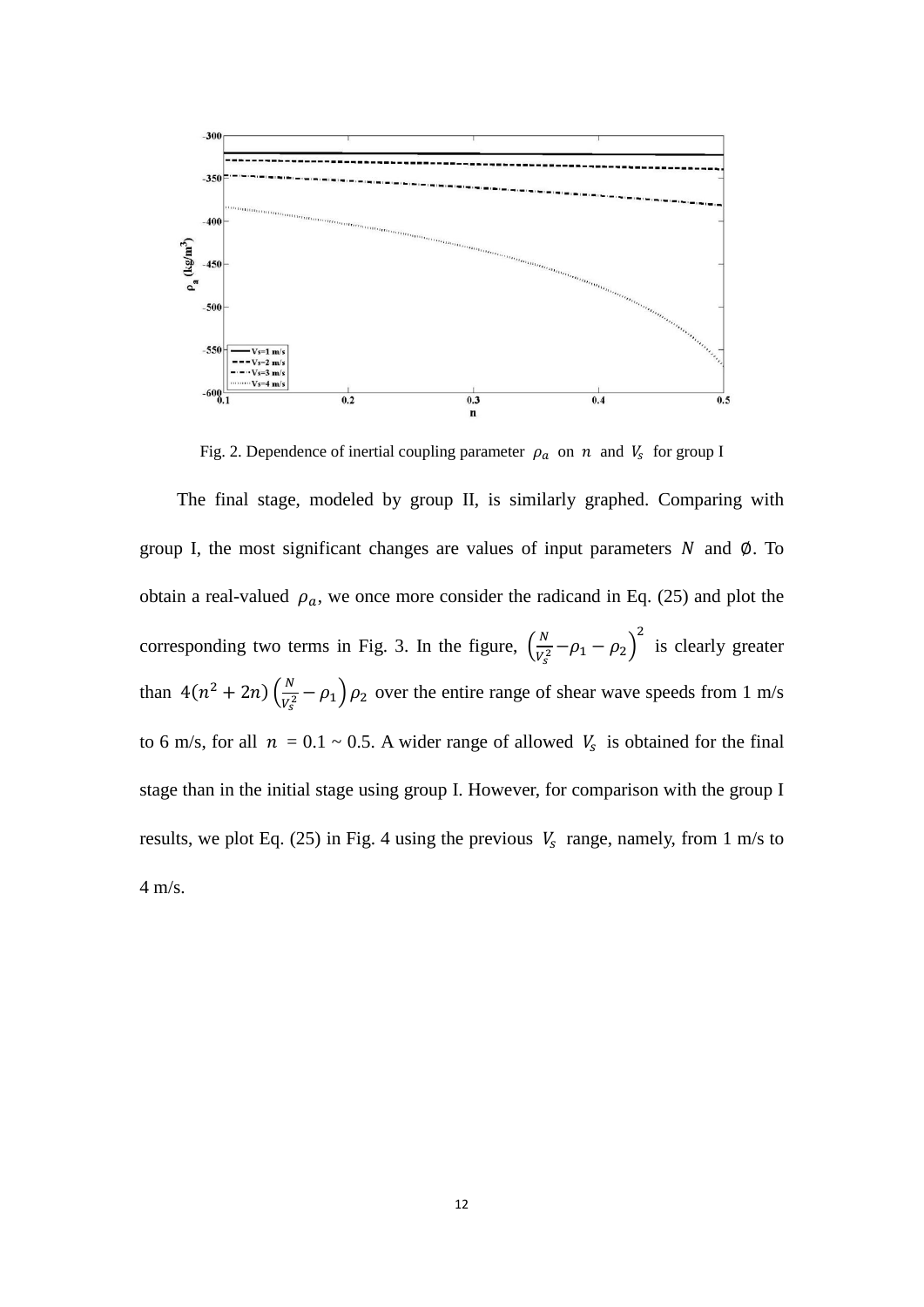

Fig. 2. Dependence of inertial coupling parameter  $\rho_a$  on  $n$  and  $V_s$  for group I

The final stage, modeled by group II, is similarly graphed. Comparing with group I, the most significant changes are values of input parameters  $N$  and  $\varnothing$ . To obtain a real-valued  $\rho_a$ , we once more consider the radicand in Eq. (25) and plot the corresponding two terms in Fig. 3. In the figure,  $\left(\frac{N}{V_s^2} - \rho_1 - \rho_2\right)$ <sup>2</sup> is clearly greater than  $4(n^2 + 2n) \left(\frac{N}{V_s^2} - \rho_1\right) \rho_2$  over the entire range of shear wave speeds from 1 m/s to 6 m/s, for all  $n = 0.1 \sim 0.5$ . A wider range of allowed  $V_s$  is obtained for the final stage than in the initial stage using group I. However, for comparison with the group I results, we plot Eq. (25) in Fig. 4 using the previous  $V_s$  range, namely, from 1 m/s to 4 m/s.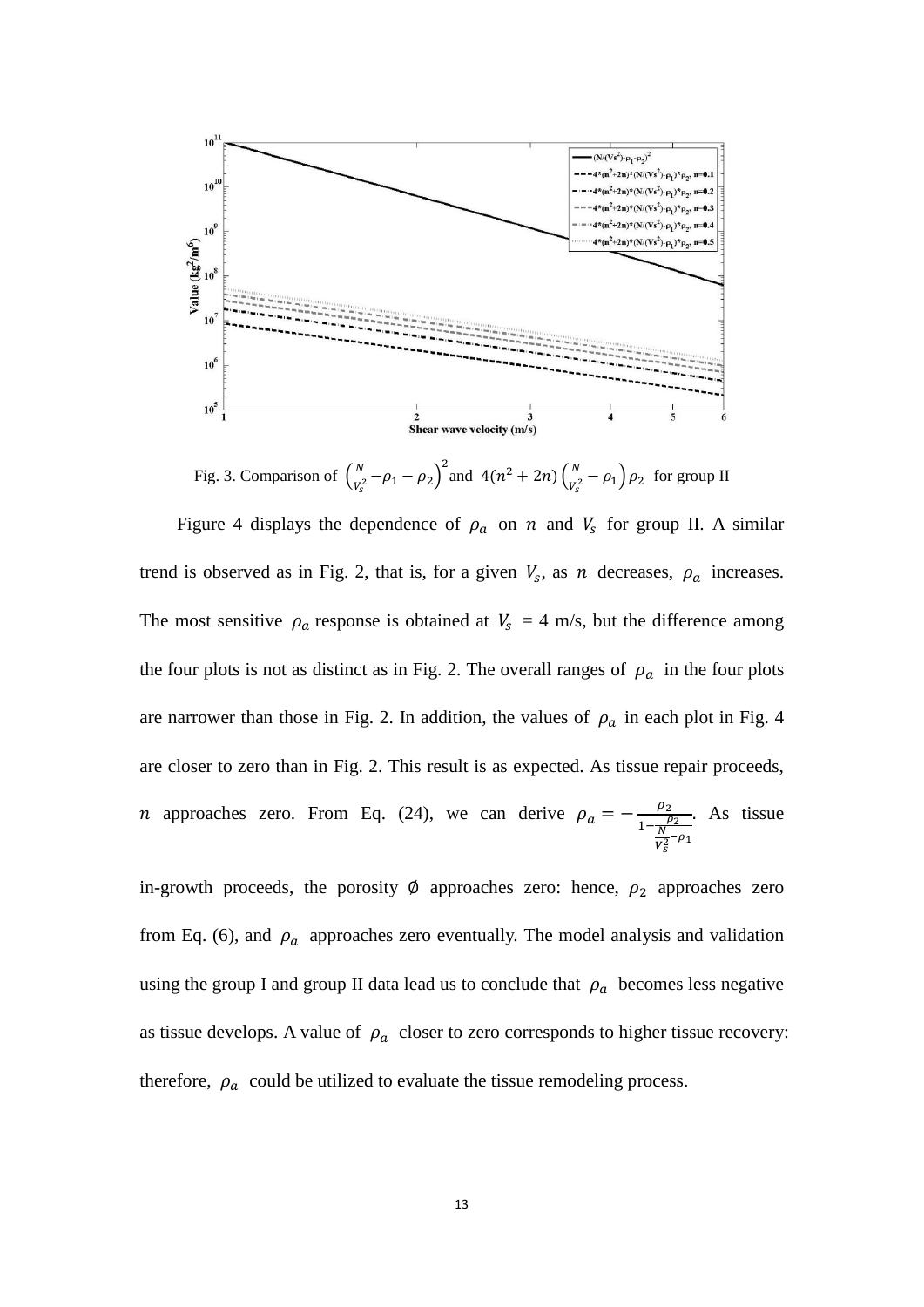

Fig. 3. Comparison of  $\left(\frac{N}{V_s^2} - \rho_1 - \rho_2\right)^2$  and  $4(n^2 + 2n)\left(\frac{N}{V_s^2} - \rho_1\right)\rho_2$  for group II Figure 4 displays the dependence of  $\rho_a$  on  $n$  and  $V_s$  for group II. A similar trend is observed as in Fig. 2, that is, for a given  $V_s$ , as  $n$  decreases,  $\rho_a$  increases. The most sensitive  $\rho_a$  response is obtained at  $V_s = 4$  m/s, but the difference among the four plots is not as distinct as in Fig. 2. The overall ranges of  $\rho_a$  in the four plots are narrower than those in Fig. 2. In addition, the values of  $\rho_a$  in each plot in Fig. 4 are closer to zero than in Fig. 2. This result is as expected. As tissue repair proceeds, *n* approaches zero. From Eq. (24), we can derive  $\rho_a = -\frac{\rho_2}{1 - \frac{\rho_2}{N_1}}$  $\overline{V_S^2}$ <sup>- $\rho_1$ </sup> . As tissue

in-growth proceeds, the porosity  $\emptyset$  approaches zero: hence,  $\rho_2$  approaches zero from Eq. (6), and  $\rho_a$  approaches zero eventually. The model analysis and validation using the group I and group II data lead us to conclude that  $\rho_a$  becomes less negative as tissue develops. A value of  $\rho_a$  closer to zero corresponds to higher tissue recovery: therefore,  $\rho_a$  could be utilized to evaluate the tissue remodeling process.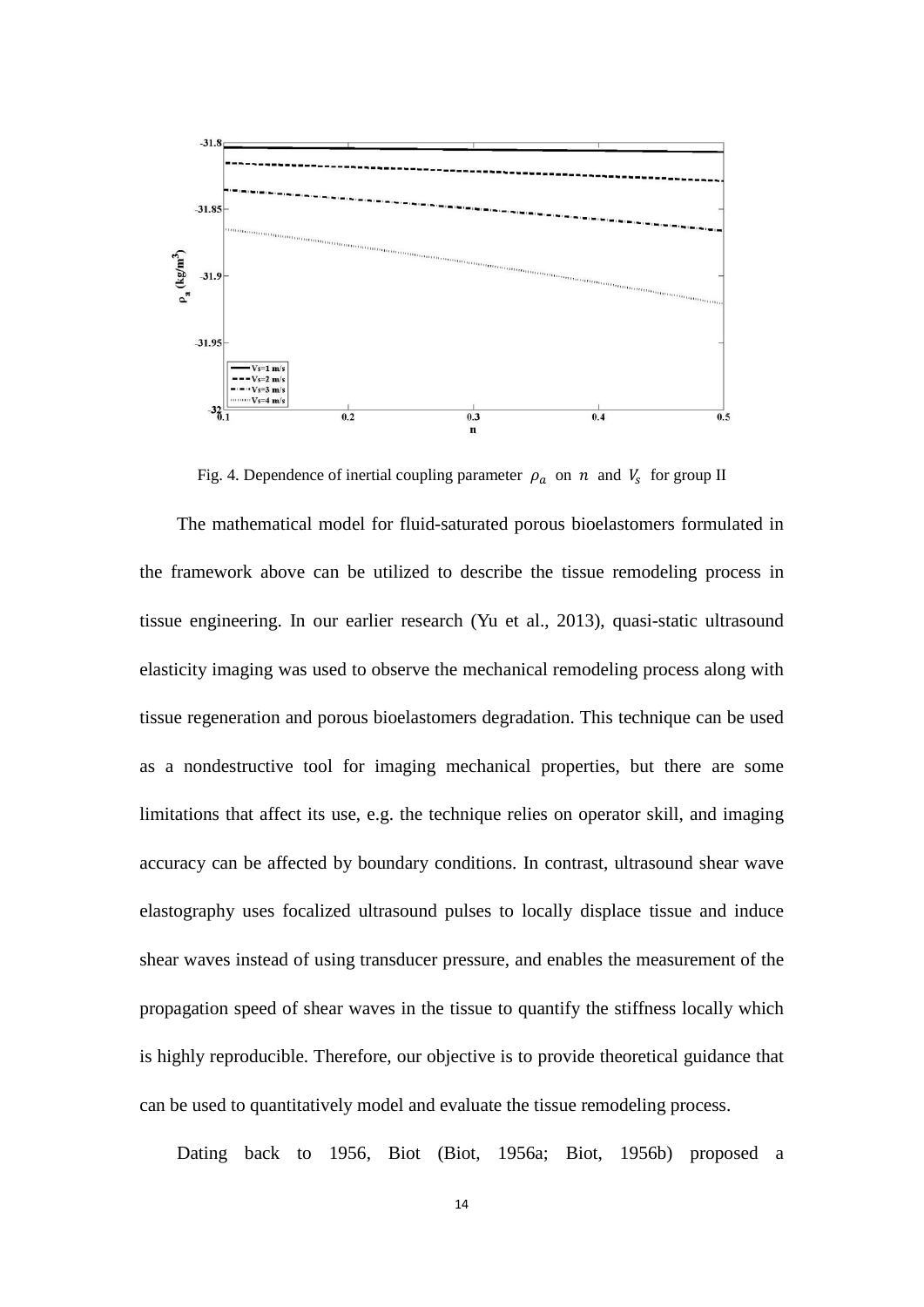

Fig. 4. Dependence of inertial coupling parameter  $\rho_a$  on  $n$  and  $V_s$  for group II

The mathematical model for fluid-saturated porous bioelastomers formulated in the framework above can be utilized to describe the tissue remodeling process in tissue engineering. In our earlier research (Yu et al., 2013), quasi-static ultrasound elasticity imaging was used to observe the mechanical remodeling process along with tissue regeneration and porous bioelastomers degradation. This technique can be used as a nondestructive tool for imaging mechanical properties, but there are some limitations that affect its use, e.g. the technique relies on operator skill, and imaging accuracy can be affected by boundary conditions. In contrast, ultrasound shear wave elastography uses focalized ultrasound pulses to locally displace tissue and induce shear waves instead of using transducer pressure, and enables the measurement of the propagation speed of shear waves in the tissue to quantify the stiffness locally which is highly reproducible. Therefore, our objective is to provide theoretical guidance that can be used to quantitatively model and evaluate the tissue remodeling process.

Dating back to 1956, Biot (Biot, 1956a; Biot, 1956b) proposed a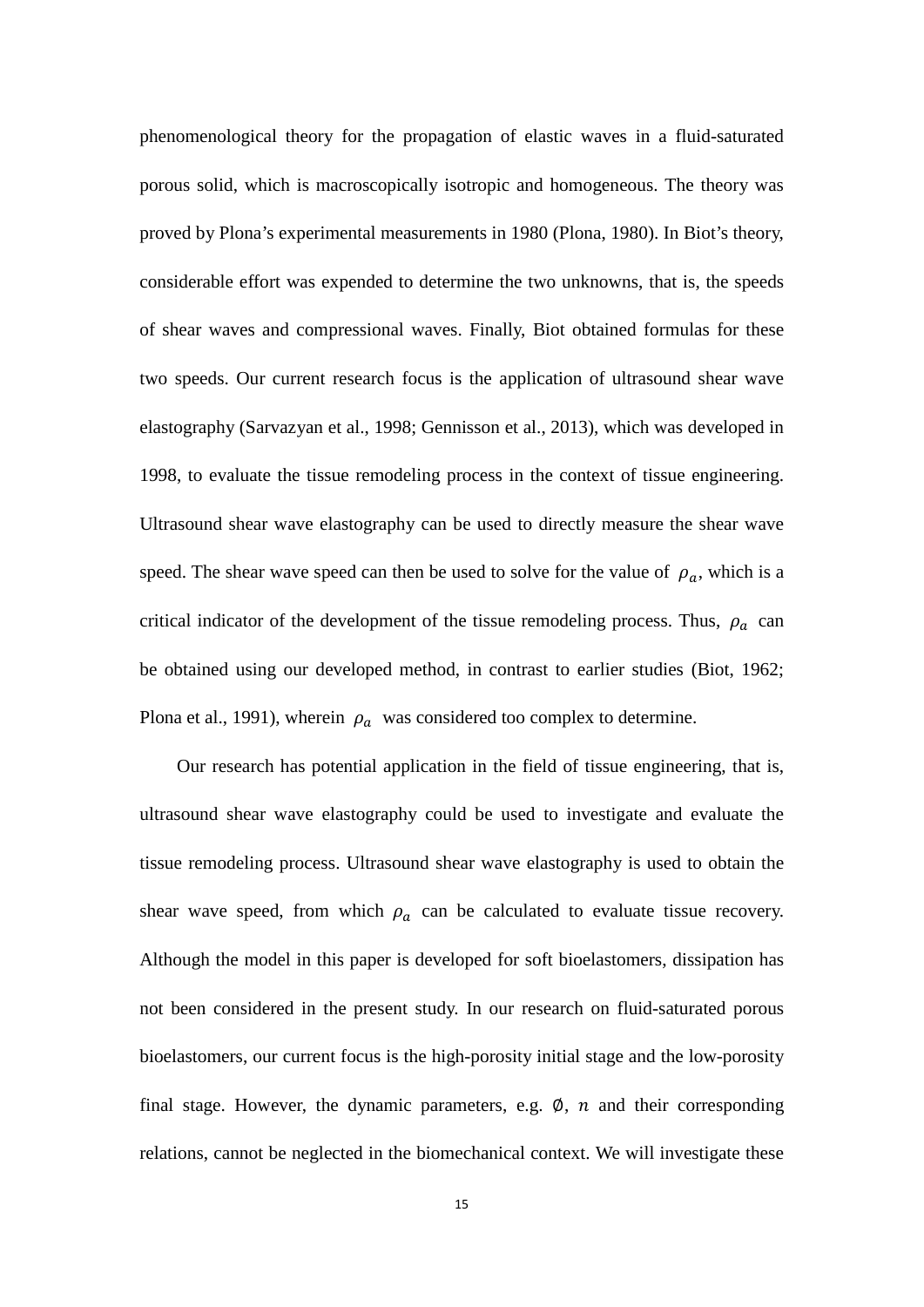phenomenological theory for the propagation of elastic waves in a fluid-saturated porous solid, which is macroscopically isotropic and homogeneous. The theory was proved by Plona's experimental measurements in 1980 (Plona, 1980). In Biot's theory, considerable effort was expended to determine the two unknowns, that is, the speeds of shear waves and compressional waves. Finally, Biot obtained formulas for these two speeds. Our current research focus is the application of ultrasound shear wave elastography (Sarvazyan et al., 1998; Gennisson et al., 2013), which was developed in 1998, to evaluate the tissue remodeling process in the context of tissue engineering. Ultrasound shear wave elastography can be used to directly measure the shear wave speed. The shear wave speed can then be used to solve for the value of  $\rho_a$ , which is a critical indicator of the development of the tissue remodeling process. Thus,  $\rho_a$  can be obtained using our developed method, in contrast to earlier studies (Biot, 1962; Plona et al., 1991), wherein  $\rho_a$  was considered too complex to determine.

Our research has potential application in the field of tissue engineering, that is, ultrasound shear wave elastography could be used to investigate and evaluate the tissue remodeling process. Ultrasound shear wave elastography is used to obtain the shear wave speed, from which  $\rho_a$  can be calculated to evaluate tissue recovery. Although the model in this paper is developed for soft bioelastomers, dissipation has not been considered in the present study. In our research on fluid-saturated porous bioelastomers, our current focus is the high-porosity initial stage and the low-porosity final stage. However, the dynamic parameters, e.g.  $\emptyset$ ,  $n$  and their corresponding relations, cannot be neglected in the biomechanical context. We will investigate these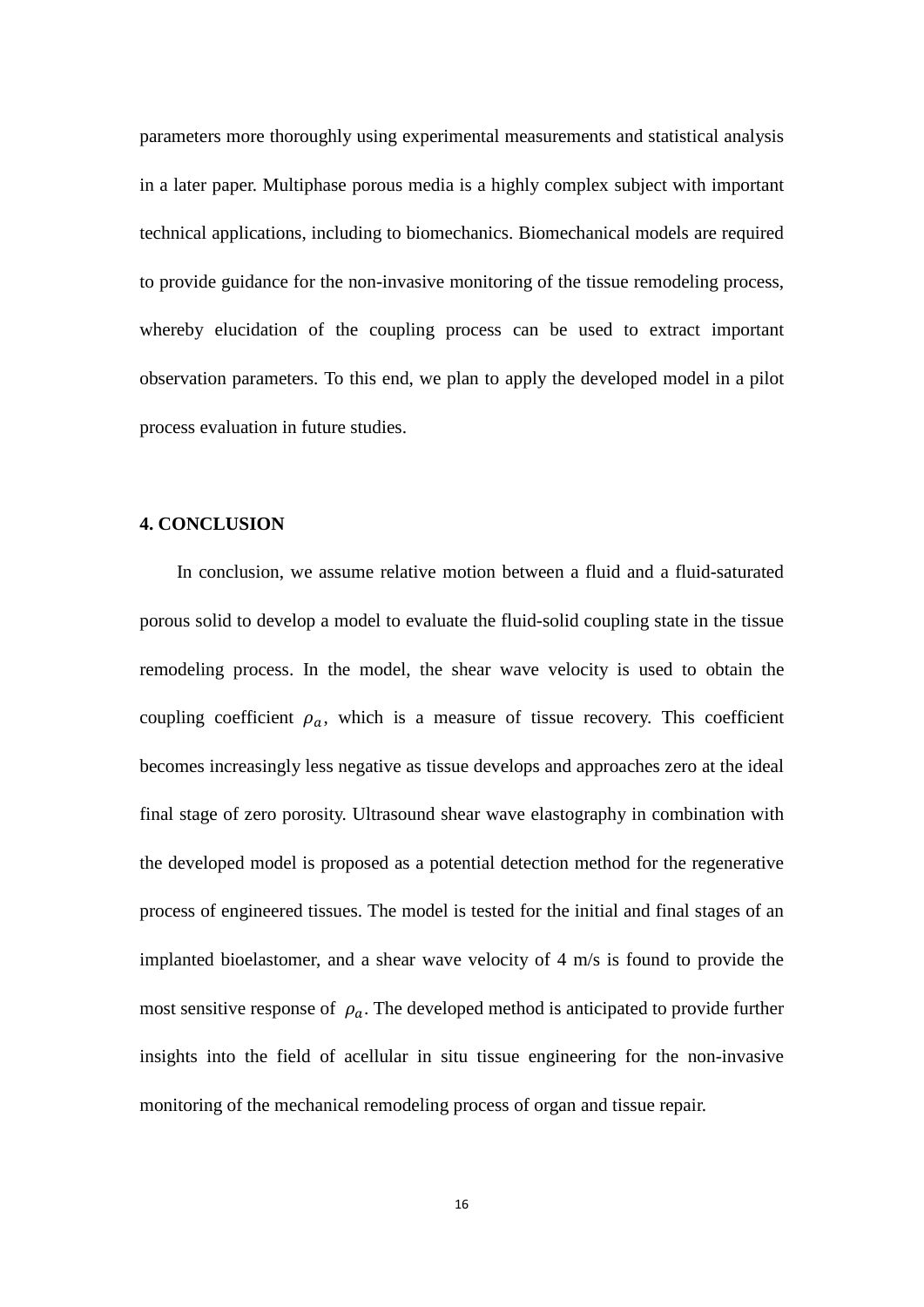parameters more thoroughly using experimental measurements and statistical analysis in a later paper. Multiphase porous media is a highly complex subject with important technical applications, including to biomechanics. Biomechanical models are required to provide guidance for the non-invasive monitoring of the tissue remodeling process, whereby elucidation of the coupling process can be used to extract important observation parameters. To this end, we plan to apply the developed model in a pilot process evaluation in future studies.

# **4. CONCLUSION**

In conclusion, we assume relative motion between a fluid and a fluid-saturated porous solid to develop a model to evaluate the fluid-solid coupling state in the tissue remodeling process. In the model, the shear wave velocity is used to obtain the coupling coefficient  $\rho_a$ , which is a measure of tissue recovery. This coefficient becomes increasingly less negative as tissue develops and approaches zero at the ideal final stage of zero porosity. Ultrasound shear wave elastography in combination with the developed model is proposed as a potential detection method for the regenerative process of engineered tissues. The model is tested for the initial and final stages of an implanted bioelastomer, and a shear wave velocity of 4 m/s is found to provide the most sensitive response of  $\rho_a$ . The developed method is anticipated to provide further insights into the field of acellular in situ tissue engineering for the non-invasive monitoring of the mechanical remodeling process of organ and tissue repair.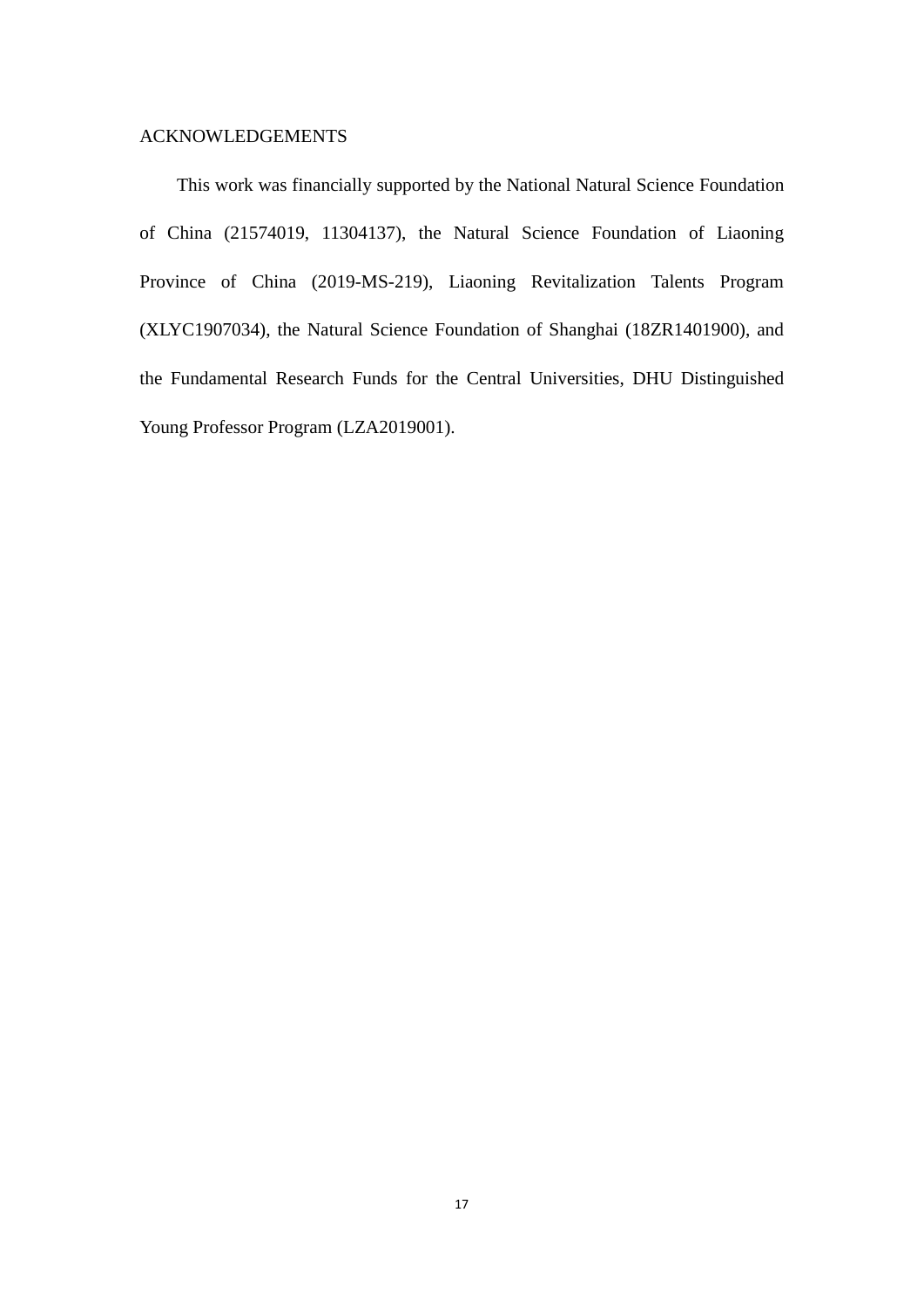# ACKNOWLEDGEMENTS

This work was financially supported by the National Natural Science Foundation of China (21574019, 11304137), the Natural Science Foundation of Liaoning Province of China (2019-MS-219), Liaoning Revitalization Talents Program (XLYC1907034), the Natural Science Foundation of Shanghai (18ZR1401900), and the Fundamental Research Funds for the Central Universities, DHU Distinguished Young Professor Program (LZA2019001).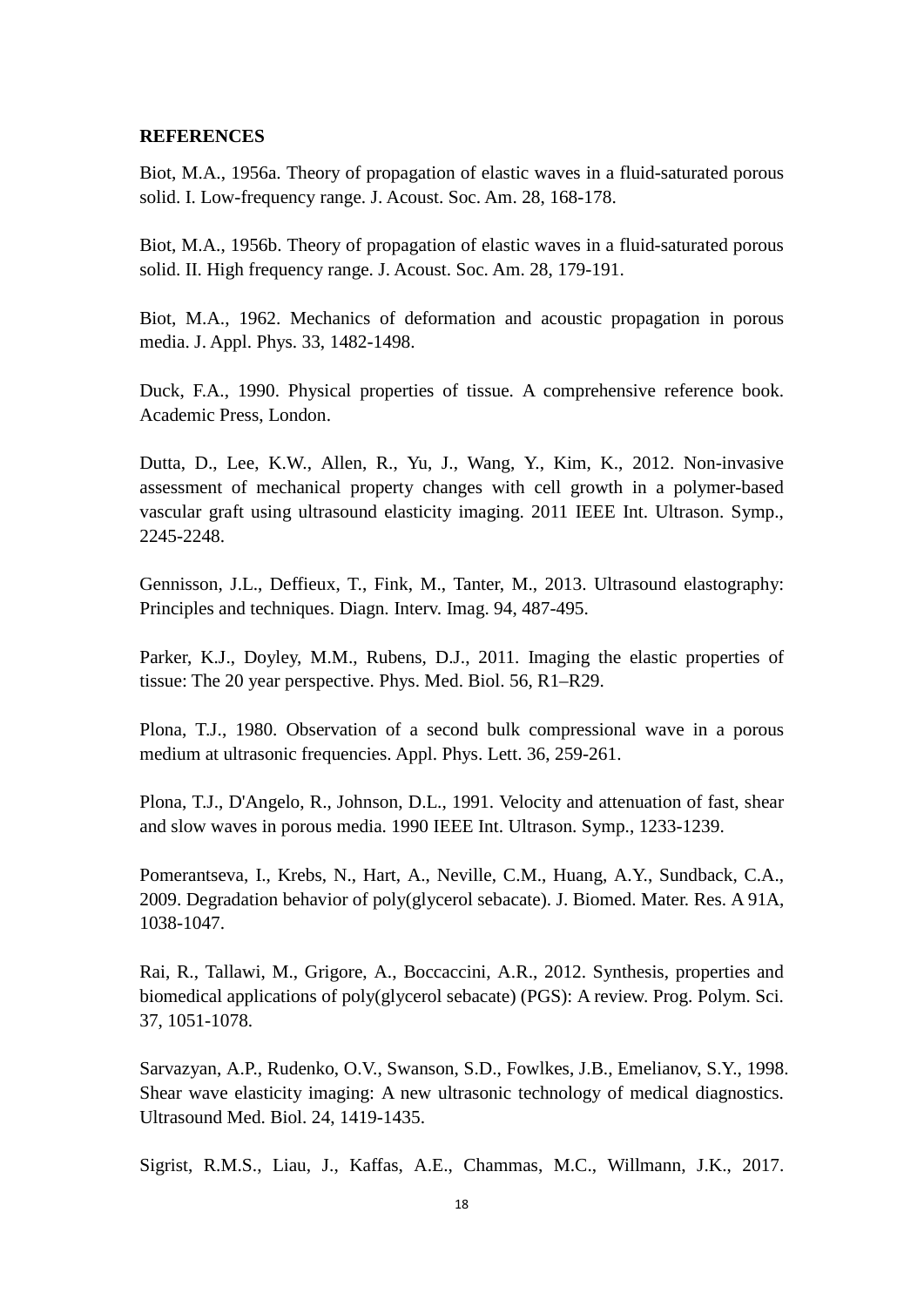#### **REFERENCES**

Biot, M.A., 1956a. Theory of propagation of elastic waves in a fluid-saturated porous solid. I. Low-frequency range. J. Acoust. Soc. Am. 28, 168-178.

Biot, M.A., 1956b. Theory of propagation of elastic waves in a fluid-saturated porous solid. II. High frequency range. J. Acoust. Soc. Am. 28, 179-191.

Biot, M.A., 1962. Mechanics of deformation and acoustic propagation in porous media. J. Appl. Phys. 33, 1482-1498.

Duck, F.A., 1990. Physical properties of tissue. A comprehensive reference book. Academic Press, London.

Dutta, D., Lee, K.W., Allen, R., Yu, J., Wang, Y., Kim, K., 2012. Non-invasive assessment of mechanical property changes with cell growth in a polymer-based vascular graft using ultrasound elasticity imaging. 2011 IEEE Int. Ultrason. Symp., 2245-2248.

Gennisson, J.L., Deffieux, T., Fink, M., Tanter, M., 2013. Ultrasound elastography: Principles and techniques. Diagn. Interv. Imag. 94, 487-495.

Parker, K.J., Doyley, M.M., Rubens, D.J., 2011. Imaging the elastic properties of tissue: The 20 year perspective. Phys. Med. Biol. 56, R1–R29.

Plona, T.J., 1980. Observation of a second bulk compressional wave in a porous medium at ultrasonic frequencies. Appl. Phys. Lett. 36, 259-261.

Plona, T.J., D'Angelo, R., Johnson, D.L., 1991. Velocity and attenuation of fast, shear and slow waves in porous media. 1990 IEEE Int. Ultrason. Symp., 1233-1239.

Pomerantseva, I., Krebs, N., Hart, A., Neville, C.M., Huang, A.Y., Sundback, C.A., 2009. Degradation behavior of poly(glycerol sebacate). J. Biomed. Mater. Res. A 91A, 1038-1047.

Rai, R., Tallawi, M., Grigore, A., Boccaccini, A.R., 2012. Synthesis, properties and biomedical applications of poly(glycerol sebacate) (PGS): A review. Prog. Polym. Sci. 37, 1051-1078.

Sarvazyan, A.P., Rudenko, O.V., Swanson, S.D., Fowlkes, J.B., Emelianov, S.Y., 1998. Shear wave elasticity imaging: A new ultrasonic technology of medical diagnostics. Ultrasound Med. Biol. 24, 1419-1435.

Sigrist, R.M.S., Liau, J., Kaffas, A.E., Chammas, M.C., Willmann, J.K., 2017.